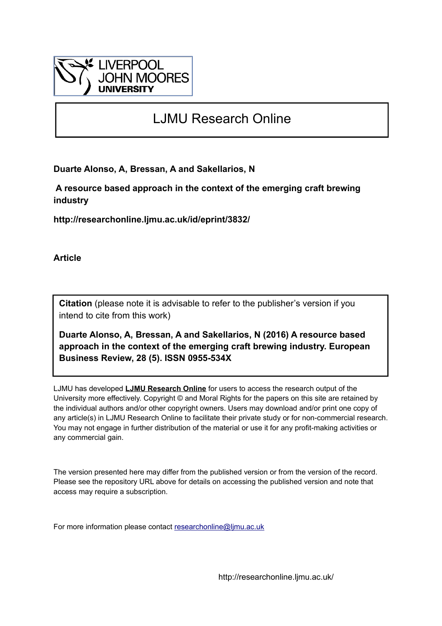

# LJMU Research Online

**Duarte Alonso, A, Bressan, A and Sakellarios, N**

 **A resource based approach in the context of the emerging craft brewing industry**

**http://researchonline.ljmu.ac.uk/id/eprint/3832/**

**Article**

**Citation** (please note it is advisable to refer to the publisher's version if you intend to cite from this work)

**Duarte Alonso, A, Bressan, A and Sakellarios, N (2016) A resource based approach in the context of the emerging craft brewing industry. European Business Review, 28 (5). ISSN 0955-534X** 

LJMU has developed **[LJMU Research Online](http://researchonline.ljmu.ac.uk/)** for users to access the research output of the University more effectively. Copyright © and Moral Rights for the papers on this site are retained by the individual authors and/or other copyright owners. Users may download and/or print one copy of any article(s) in LJMU Research Online to facilitate their private study or for non-commercial research. You may not engage in further distribution of the material or use it for any profit-making activities or any commercial gain.

The version presented here may differ from the published version or from the version of the record. Please see the repository URL above for details on accessing the published version and note that access may require a subscription.

For more information please contact [researchonline@ljmu.ac.uk](mailto:researchonline@ljmu.ac.uk)

http://researchonline.ljmu.ac.uk/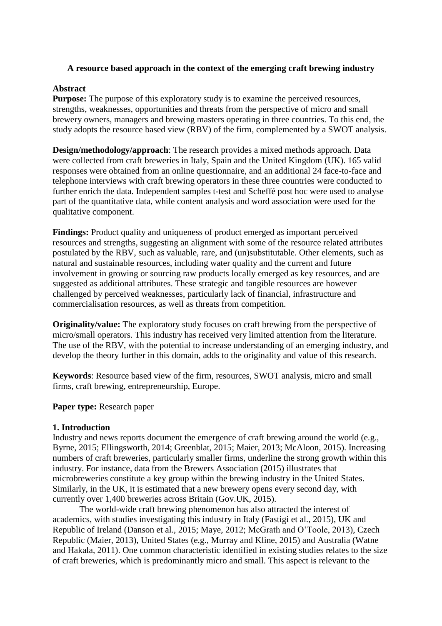# **A resource based approach in the context of the emerging craft brewing industry**

# **Abstract**

**Purpose:** The purpose of this exploratory study is to examine the perceived resources, strengths, weaknesses, opportunities and threats from the perspective of micro and small brewery owners, managers and brewing masters operating in three countries. To this end, the study adopts the resource based view (RBV) of the firm, complemented by a SWOT analysis.

**Design/methodology/approach**: The research provides a mixed methods approach. Data were collected from craft breweries in Italy, Spain and the United Kingdom (UK). 165 valid responses were obtained from an online questionnaire, and an additional 24 face-to-face and telephone interviews with craft brewing operators in these three countries were conducted to further enrich the data. Independent samples t-test and Scheffé post hoc were used to analyse part of the quantitative data, while content analysis and word association were used for the qualitative component.

**Findings:** Product quality and uniqueness of product emerged as important perceived resources and strengths, suggesting an alignment with some of the resource related attributes postulated by the RBV, such as valuable, rare, and (un)substitutable. Other elements, such as natural and sustainable resources, including water quality and the current and future involvement in growing or sourcing raw products locally emerged as key resources, and are suggested as additional attributes. These strategic and tangible resources are however challenged by perceived weaknesses, particularly lack of financial, infrastructure and commercialisation resources, as well as threats from competition.

**Originality/value:** The exploratory study focuses on craft brewing from the perspective of micro/small operators. This industry has received very limited attention from the literature. The use of the RBV, with the potential to increase understanding of an emerging industry, and develop the theory further in this domain, adds to the originality and value of this research.

**Keywords**: Resource based view of the firm, resources, SWOT analysis, micro and small firms, craft brewing, entrepreneurship, Europe.

# **Paper type:** Research paper

# **1. Introduction**

Industry and news reports document the emergence of craft brewing around the world (e.g., Byrne, 2015; Ellingsworth, 2014; Greenblat, 2015; Maier, 2013; McAloon, 2015). Increasing numbers of craft breweries, particularly smaller firms, underline the strong growth within this industry. For instance, data from the Brewers Association (2015) illustrates that microbreweries constitute a key group within the brewing industry in the United States. Similarly, in the UK, it is estimated that a new brewery opens every second day, with currently over 1,400 breweries across Britain (Gov.UK, 2015).

The world-wide craft brewing phenomenon has also attracted the interest of academics, with studies investigating this industry in Italy (Fastigi et al., 2015), UK and Republic of Ireland (Danson et al., 2015; Maye, 2012; McGrath and O'Toole, 2013), Czech Republic (Maier, 2013), United States (e.g., Murray and Kline, 2015) and Australia (Watne and Hakala, 2011). One common characteristic identified in existing studies relates to the size of craft breweries, which is predominantly micro and small. This aspect is relevant to the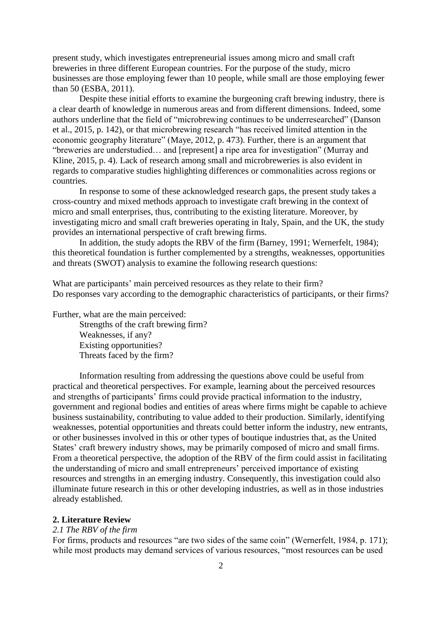present study, which investigates entrepreneurial issues among micro and small craft breweries in three different European countries. For the purpose of the study, micro businesses are those employing fewer than 10 people, while small are those employing fewer than 50 (ESBA, 2011).

Despite these initial efforts to examine the burgeoning craft brewing industry, there is a clear dearth of knowledge in numerous areas and from different dimensions. Indeed, some authors underline that the field of "microbrewing continues to be underresearched" (Danson et al., 2015, p. 142), or that microbrewing research "has received limited attention in the economic geography literature" (Maye, 2012, p. 473). Further, there is an argument that "breweries are understudied… and [represent] a ripe area for investigation" (Murray and Kline, 2015, p. 4). Lack of research among small and microbreweries is also evident in regards to comparative studies highlighting differences or commonalities across regions or countries.

In response to some of these acknowledged research gaps, the present study takes a cross-country and mixed methods approach to investigate craft brewing in the context of micro and small enterprises, thus, contributing to the existing literature. Moreover, by investigating micro and small craft breweries operating in Italy, Spain, and the UK, the study provides an international perspective of craft brewing firms.

In addition, the study adopts the RBV of the firm (Barney, 1991; Wernerfelt, 1984); this theoretical foundation is further complemented by a strengths, weaknesses, opportunities and threats (SWOT) analysis to examine the following research questions:

What are participants' main perceived resources as they relate to their firm? Do responses vary according to the demographic characteristics of participants, or their firms?

Further, what are the main perceived:

Strengths of the craft brewing firm? Weaknesses, if any? Existing opportunities? Threats faced by the firm?

Information resulting from addressing the questions above could be useful from practical and theoretical perspectives. For example, learning about the perceived resources and strengths of participants' firms could provide practical information to the industry, government and regional bodies and entities of areas where firms might be capable to achieve business sustainability, contributing to value added to their production. Similarly, identifying weaknesses, potential opportunities and threats could better inform the industry, new entrants, or other businesses involved in this or other types of boutique industries that, as the United States' craft brewery industry shows, may be primarily composed of micro and small firms. From a theoretical perspective, the adoption of the RBV of the firm could assist in facilitating the understanding of micro and small entrepreneurs' perceived importance of existing resources and strengths in an emerging industry. Consequently, this investigation could also illuminate future research in this or other developing industries, as well as in those industries already established.

## **2. Literature Review**

## *2.1 The RBV of the firm*

For firms, products and resources "are two sides of the same coin" (Wernerfelt, 1984, p. 171); while most products may demand services of various resources, "most resources can be used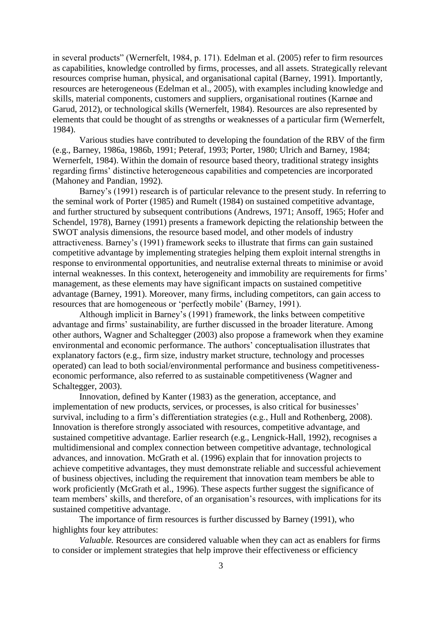in several products" (Wernerfelt, 1984, p. 171). Edelman et al. (2005) refer to firm resources as capabilities, knowledge controlled by firms, processes, and all assets. Strategically relevant resources comprise human, physical, and organisational capital (Barney, 1991). Importantly, resources are heterogeneous (Edelman et al., 2005), with examples including knowledge and skills, material components, customers and suppliers, organisational routines (Karnøe and Garud, 2012), or technological skills (Wernerfelt, 1984). Resources are also represented by elements that could be thought of as strengths or weaknesses of a particular firm (Wernerfelt, 1984).

Various studies have contributed to developing the foundation of the RBV of the firm (e.g., Barney, 1986a, 1986b, 1991; Peteraf, 1993; Porter, 1980; Ulrich and Barney, 1984; Wernerfelt, 1984). Within the domain of resource based theory, traditional strategy insights regarding firms' distinctive heterogeneous capabilities and competencies are incorporated (Mahoney and Pandian, 1992).

Barney's (1991) research is of particular relevance to the present study. In referring to the seminal work of Porter (1985) and Rumelt (1984) on sustained competitive advantage, and further structured by subsequent contributions (Andrews, 1971; Ansoff, 1965; Hofer and Schendel, 1978), Barney (1991) presents a framework depicting the relationship between the SWOT analysis dimensions, the resource based model, and other models of industry attractiveness. Barney's (1991) framework seeks to illustrate that firms can gain sustained competitive advantage by implementing strategies helping them exploit internal strengths in response to environmental opportunities, and neutralise external threats to minimise or avoid internal weaknesses. In this context, heterogeneity and immobility are requirements for firms' management, as these elements may have significant impacts on sustained competitive advantage (Barney, 1991). Moreover, many firms, including competitors, can gain access to resources that are homogeneous or 'perfectly mobile' (Barney, 1991).

Although implicit in Barney's (1991) framework, the links between competitive advantage and firms' sustainability, are further discussed in the broader literature. Among other authors, Wagner and Schaltegger (2003) also propose a framework when they examine environmental and economic performance. The authors' conceptualisation illustrates that explanatory factors (e.g., firm size, industry market structure, technology and processes operated) can lead to both social/environmental performance and business competitivenesseconomic performance, also referred to as sustainable competitiveness (Wagner and Schaltegger, 2003).

Innovation, defined by Kanter (1983) as the generation, acceptance, and implementation of new products, services, or processes, is also critical for businesses' survival, including to a firm's differentiation strategies (e.g., Hull and Rothenberg, 2008). Innovation is therefore strongly associated with resources, competitive advantage, and sustained competitive advantage. Earlier research (e.g., Lengnick-Hall, 1992), recognises a multidimensional and complex connection between competitive advantage, technological advances, and innovation. McGrath et al. (1996) explain that for innovation projects to achieve competitive advantages, they must demonstrate reliable and successful achievement of business objectives, including the requirement that innovation team members be able to work proficiently (McGrath et al., 1996). These aspects further suggest the significance of team members' skills, and therefore, of an organisation's resources, with implications for its sustained competitive advantage.

The importance of firm resources is further discussed by Barney (1991), who highlights four key attributes:

*Valuable.* Resources are considered valuable when they can act as enablers for firms to consider or implement strategies that help improve their effectiveness or efficiency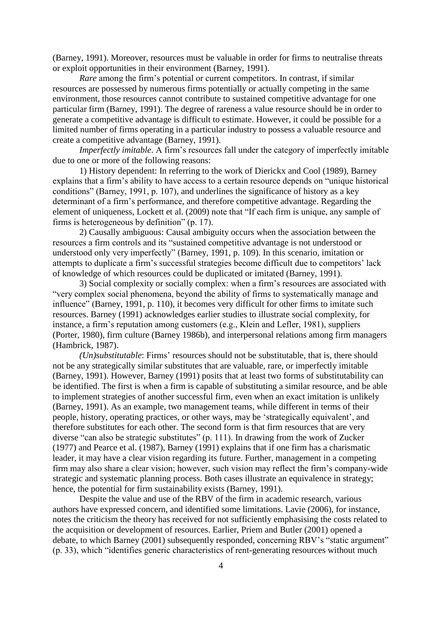(Barney, 1991). Moreover, resources must be valuable in order for firms to neutralise threats or exploit opportunities in their environment (Barney, 1991).

*Rare* among the firm's potential or current competitors. In contrast, if similar resources are possessed by numerous firms potentially or actually competing in the same environment, those resources cannot contribute to sustained competitive advantage for one particular firm (Barney, 1991). The degree of rareness a value resource should be in order to generate a competitive advantage is difficult to estimate. However, it could be possible for a limited number of firms operating in a particular industry to possess a valuable resource and create a competitive advantage (Barney, 1991).

*Imperfectly imitable*. A firm's resources fall under the category of imperfectly imitable due to one or more of the following reasons:

1) History dependent: In referring to the work of Dierickx and Cool (1989), Barney explains that a firm's ability to have access to a certain resource depends on "unique historical conditions" (Barney, 1991, p. 107), and underlines the significance of history as a key determinant of a firm's performance, and therefore competitive advantage. Regarding the element of uniqueness, Lockett et al. (2009) note that "If each firm is unique, any sample of firms is heterogeneous by definition" (p. 17).

2) Causally ambiguous: Causal ambiguity occurs when the association between the resources a firm controls and its "sustained competitive advantage is not understood or understood only very imperfectly" (Barney, 1991, p. 109). In this scenario, imitation or attempts to duplicate a firm's successful strategies become difficult due to competitors' lack of knowledge of which resources could be duplicated or imitated (Barney, 1991).

3) Social complexity or socially complex: when a firm's resources are associated with "very complex social phenomena, beyond the ability of firms to systematically manage and influence" (Barney, 1991, p. 110), it becomes very difficult for other firms to imitate such resources. Barney (1991) acknowledges earlier studies to illustrate social complexity, for instance, a firm's reputation among customers (e.g., Klein and Lefler, 1981), suppliers (Porter, 1980), firm culture (Barney 1986b), and interpersonal relations among firm managers (Hambrick, 1987).

*(Un)substitutable*: Firms' resources should not be substitutable, that is, there should not be any strategically similar substitutes that are valuable, rare, or imperfectly imitable (Barney, 1991). However, Barney (1991) posits that at least two forms of substitutability can be identified. The first is when a firm is capable of substituting a similar resource, and be able to implement strategies of another successful firm, even when an exact imitation is unlikely (Barney, 1991). As an example, two management teams, while different in terms of their people, history, operating practices, or other ways, may be 'strategically equivalent', and therefore substitutes for each other. The second form is that firm resources that are very diverse "can also be strategic substitutes" (p. 111). In drawing from the work of Zucker (1977) and Pearce et al. (1987), Barney (1991) explains that if one firm has a charismatic leader, it may have a clear vision regarding its future. Further, management in a competing firm may also share a clear vision; however, such vision may reflect the firm's company-wide strategic and systematic planning process. Both cases illustrate an equivalence in strategy; hence, the potential for firm sustainability exists (Barney, 1991).

Despite the value and use of the RBV of the firm in academic research, various authors have expressed concern, and identified some limitations. Lavie (2006), for instance, notes the criticism the theory has received for not sufficiently emphasising the costs related to the acquisition or development of resources. Earlier, Priem and Butler (2001) opened a debate, to which Barney (2001) subsequently responded, concerning RBV's "static argument" (p. 33), which "identifies generic characteristics of rent-generating resources without much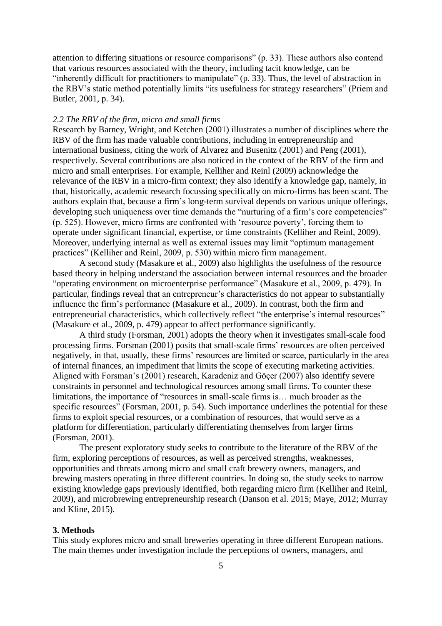attention to differing situations or resource comparisons" (p. 33). These authors also contend that various resources associated with the theory, including tacit knowledge, can be "inherently difficult for practitioners to manipulate" (p. 33). Thus, the level of abstraction in the RBV's static method potentially limits "its usefulness for strategy researchers" (Priem and Butler, 2001, p. 34).

## *2.2 The RBV of the firm, micro and small firms*

Research by Barney, Wright, and Ketchen (2001) illustrates a number of disciplines where the RBV of the firm has made valuable contributions, including in entrepreneurship and international business, citing the work of Alvarez and Busenitz (2001) and Peng (2001), respectively. Several contributions are also noticed in the context of the RBV of the firm and micro and small enterprises. For example, Kelliher and Reinl (2009) acknowledge the relevance of the RBV in a micro-firm context; they also identify a knowledge gap, namely, in that, historically, academic research focussing specifically on micro-firms has been scant. The authors explain that, because a firm's long-term survival depends on various unique offerings, developing such uniqueness over time demands the "nurturing of a firm's core competencies" (p. 525). However, micro firms are confronted with 'resource poverty', forcing them to operate under significant financial, expertise, or time constraints (Kelliher and Reinl, 2009). Moreover, underlying internal as well as external issues may limit "optimum management practices" (Kelliher and Reinl, 2009, p. 530) within micro firm management.

A second study (Masakure et al., 2009) also highlights the usefulness of the resource based theory in helping understand the association between internal resources and the broader "operating environment on microenterprise performance" (Masakure et al., 2009, p. 479). In particular, findings reveal that an entrepreneur's characteristics do not appear to substantially influence the firm's performance (Masakure et al., 2009). In contrast, both the firm and entrepreneurial characteristics, which collectively reflect "the enterprise's internal resources" (Masakure et al., 2009, p. 479) appear to affect performance significantly.

A third study (Forsman, 2001) adopts the theory when it investigates small-scale food processing firms. Forsman (2001) posits that small-scale firms' resources are often perceived negatively, in that, usually, these firms' resources are limited or scarce, particularly in the area of internal finances, an impediment that limits the scope of executing marketing activities. Aligned with Forsman's (2001) research, Karadeniz and Göçer (2007) also identify severe constraints in personnel and technological resources among small firms. To counter these limitations, the importance of "resources in small-scale firms is… much broader as the specific resources" (Forsman, 2001, p. 54). Such importance underlines the potential for these firms to exploit special resources, or a combination of resources, that would serve as a platform for differentiation, particularly differentiating themselves from larger firms (Forsman, 2001).

The present exploratory study seeks to contribute to the literature of the RBV of the firm, exploring perceptions of resources, as well as perceived strengths, weaknesses, opportunities and threats among micro and small craft brewery owners, managers, and brewing masters operating in three different countries. In doing so, the study seeks to narrow existing knowledge gaps previously identified, both regarding micro firm (Kelliher and Reinl, 2009), and microbrewing entrepreneurship research (Danson et al. 2015; Maye, 2012; Murray and Kline, 2015).

## **3. Methods**

This study explores micro and small breweries operating in three different European nations. The main themes under investigation include the perceptions of owners, managers, and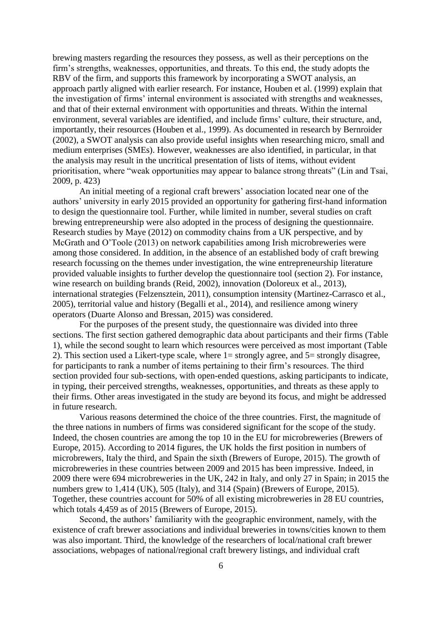brewing masters regarding the resources they possess, as well as their perceptions on the firm's strengths, weaknesses, opportunities, and threats. To this end, the study adopts the RBV of the firm, and supports this framework by incorporating a SWOT analysis, an approach partly aligned with earlier research. For instance, Houben et al. (1999) explain that the investigation of firms' internal environment is associated with strengths and weaknesses, and that of their external environment with opportunities and threats. Within the internal environment, several variables are identified, and include firms' culture, their structure, and, importantly, their resources (Houben et al., 1999). As documented in research by Bernroider (2002), a SWOT analysis can also provide useful insights when researching micro, small and medium enterprises (SMEs). However, weaknesses are also identified, in particular, in that the analysis may result in the uncritical presentation of lists of items, without evident prioritisation, where "weak opportunities may appear to balance strong threats" (Lin and Tsai, 2009, p. 423)

An initial meeting of a regional craft brewers' association located near one of the authors' university in early 2015 provided an opportunity for gathering first-hand information to design the questionnaire tool. Further, while limited in number, several studies on craft brewing entrepreneurship were also adopted in the process of designing the questionnaire. Research studies by Maye (2012) on commodity chains from a UK perspective, and by McGrath and O'Toole (2013) on network capabilities among Irish microbreweries were among those considered. In addition, in the absence of an established body of craft brewing research focussing on the themes under investigation, the wine entrepreneurship literature provided valuable insights to further develop the questionnaire tool (section 2). For instance, wine research on building brands (Reid, 2002), innovation (Doloreux et al., 2013), international strategies (Felzensztein, 2011), consumption intensity (Martinez-Carrasco et al., 2005), territorial value and history (Begalli et al., 2014), and resilience among winery operators (Duarte Alonso and Bressan, 2015) was considered.

For the purposes of the present study, the questionnaire was divided into three sections. The first section gathered demographic data about participants and their firms (Table 1), while the second sought to learn which resources were perceived as most important (Table 2). This section used a Likert-type scale, where 1= strongly agree, and 5= strongly disagree, for participants to rank a number of items pertaining to their firm's resources. The third section provided four sub-sections, with open-ended questions, asking participants to indicate, in typing, their perceived strengths, weaknesses, opportunities, and threats as these apply to their firms. Other areas investigated in the study are beyond its focus, and might be addressed in future research.

Various reasons determined the choice of the three countries. First, the magnitude of the three nations in numbers of firms was considered significant for the scope of the study. Indeed, the chosen countries are among the top 10 in the EU for microbreweries (Brewers of Europe, 2015). According to 2014 figures, the UK holds the first position in numbers of microbrewers, Italy the third, and Spain the sixth (Brewers of Europe, 2015). The growth of microbreweries in these countries between 2009 and 2015 has been impressive. Indeed, in 2009 there were 694 microbreweries in the UK, 242 in Italy, and only 27 in Spain; in 2015 the numbers grew to 1,414 (UK), 505 (Italy), and 314 (Spain) (Brewers of Europe, 2015). Together, these countries account for 50% of all existing microbreweries in 28 EU countries, which totals 4,459 as of 2015 (Brewers of Europe, 2015).

Second, the authors' familiarity with the geographic environment, namely, with the existence of craft brewer associations and individual breweries in towns/cities known to them was also important. Third, the knowledge of the researchers of local/national craft brewer associations, webpages of national/regional craft brewery listings, and individual craft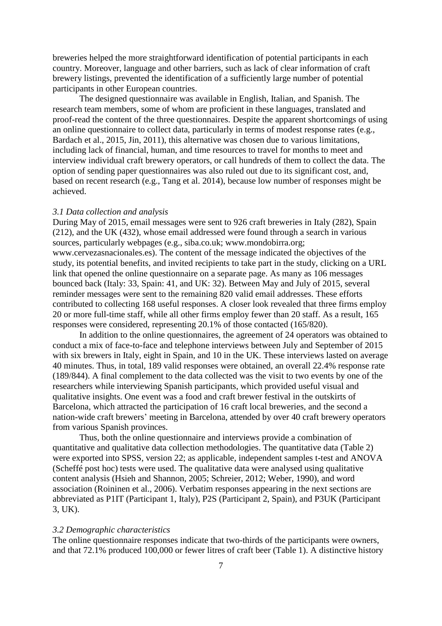breweries helped the more straightforward identification of potential participants in each country. Moreover, language and other barriers, such as lack of clear information of craft brewery listings, prevented the identification of a sufficiently large number of potential participants in other European countries.

The designed questionnaire was available in English, Italian, and Spanish. The research team members, some of whom are proficient in these languages, translated and proof-read the content of the three questionnaires. Despite the apparent shortcomings of using an online questionnaire to collect data, particularly in terms of modest response rates (e.g., Bardach et al., 2015, Jin, 2011), this alternative was chosen due to various limitations, including lack of financial, human, and time resources to travel for months to meet and interview individual craft brewery operators, or call hundreds of them to collect the data. The option of sending paper questionnaires was also ruled out due to its significant cost, and, based on recent research (e.g., Tang et al. 2014), because low number of responses might be achieved.

### *3.1 Data collection and analysis*

During May of 2015, email messages were sent to 926 craft breweries in Italy (282), Spain (212), and the UK (432), whose email addressed were found through a search in various sources, particularly webpages (e.g., siba.co.uk; www.mondobirra.org; www.cervezasnacionales.es). The content of the message indicated the objectives of the study, its potential benefits, and invited recipients to take part in the study, clicking on a URL link that opened the online questionnaire on a separate page. As many as 106 messages bounced back (Italy: 33, Spain: 41, and UK: 32). Between May and July of 2015, several reminder messages were sent to the remaining 820 valid email addresses. These efforts contributed to collecting 168 useful responses. A closer look revealed that three firms employ 20 or more full-time staff, while all other firms employ fewer than 20 staff. As a result, 165 responses were considered, representing 20.1% of those contacted (165/820).

In addition to the online questionnaires, the agreement of 24 operators was obtained to conduct a mix of face-to-face and telephone interviews between July and September of 2015 with six brewers in Italy, eight in Spain, and 10 in the UK. These interviews lasted on average 40 minutes. Thus, in total, 189 valid responses were obtained, an overall 22.4% response rate (189/844). A final complement to the data collected was the visit to two events by one of the researchers while interviewing Spanish participants, which provided useful visual and qualitative insights. One event was a food and craft brewer festival in the outskirts of Barcelona, which attracted the participation of 16 craft local breweries, and the second a nation-wide craft brewers' meeting in Barcelona, attended by over 40 craft brewery operators from various Spanish provinces.

Thus, both the online questionnaire and interviews provide a combination of quantitative and qualitative data collection methodologies. The quantitative data (Table 2) were exported into SPSS, version 22; as applicable, independent samples t-test and ANOVA (Scheffé post hoc) tests were used. The qualitative data were analysed using qualitative content analysis (Hsieh and Shannon, 2005; Schreier, 2012; Weber, 1990), and word association (Roininen et al., 2006). Verbatim responses appearing in the next sections are abbreviated as P1IT (Participant 1, Italy), P2S (Participant 2, Spain), and P3UK (Participant 3, UK).

#### *3.2 Demographic characteristics*

The online questionnaire responses indicate that two-thirds of the participants were owners, and that 72.1% produced 100,000 or fewer litres of craft beer (Table 1). A distinctive history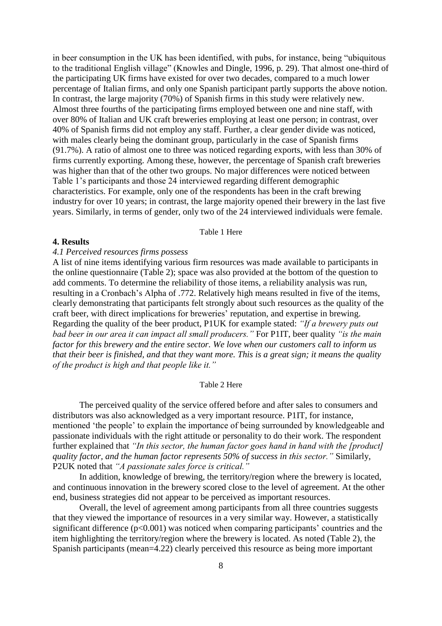in beer consumption in the UK has been identified, with pubs, for instance, being "ubiquitous to the traditional English village" (Knowles and Dingle, 1996, p. 29). That almost one-third of the participating UK firms have existed for over two decades, compared to a much lower percentage of Italian firms, and only one Spanish participant partly supports the above notion. In contrast, the large majority (70%) of Spanish firms in this study were relatively new. Almost three fourths of the participating firms employed between one and nine staff, with over 80% of Italian and UK craft breweries employing at least one person; in contrast, over 40% of Spanish firms did not employ any staff. Further, a clear gender divide was noticed, with males clearly being the dominant group, particularly in the case of Spanish firms (91.7%). A ratio of almost one to three was noticed regarding exports, with less than 30% of firms currently exporting. Among these, however, the percentage of Spanish craft breweries was higher than that of the other two groups. No major differences were noticed between Table 1's participants and those 24 interviewed regarding different demographic characteristics. For example, only one of the respondents has been in the craft brewing industry for over 10 years; in contrast, the large majority opened their brewery in the last five years. Similarly, in terms of gender, only two of the 24 interviewed individuals were female.

## Table 1 Here

## **4. Results**

# *4.1 Perceived resources firms possess*

A list of nine items identifying various firm resources was made available to participants in the online questionnaire (Table 2); space was also provided at the bottom of the question to add comments. To determine the reliability of those items, a reliability analysis was run, resulting in a Cronbach's Alpha of .772. Relatively high means resulted in five of the items, clearly demonstrating that participants felt strongly about such resources as the quality of the craft beer, with direct implications for breweries' reputation, and expertise in brewing. Regarding the quality of the beer product, P1UK for example stated: *"If a brewery puts out bad beer in our area it can impact all small producers."* For P1IT, beer quality *"is the main factor for this brewery and the entire sector. We love when our customers call to inform us that their beer is finished, and that they want more. This is a great sign; it means the quality of the product is high and that people like it."*

#### Table 2 Here

The perceived quality of the service offered before and after sales to consumers and distributors was also acknowledged as a very important resource. P1IT, for instance, mentioned 'the people' to explain the importance of being surrounded by knowledgeable and passionate individuals with the right attitude or personality to do their work. The respondent further explained that *"In this sector, the human factor goes hand in hand with the [product] quality factor, and the human factor represents 50% of success in this sector."* Similarly, P2UK noted that *"A passionate sales force is critical."*

In addition, knowledge of brewing, the territory/region where the brewery is located, and continuous innovation in the brewery scored close to the level of agreement. At the other end, business strategies did not appear to be perceived as important resources.

Overall, the level of agreement among participants from all three countries suggests that they viewed the importance of resources in a very similar way. However, a statistically significant difference  $(p<0.001)$  was noticed when comparing participants' countries and the item highlighting the territory/region where the brewery is located. As noted (Table 2), the Spanish participants (mean=4.22) clearly perceived this resource as being more important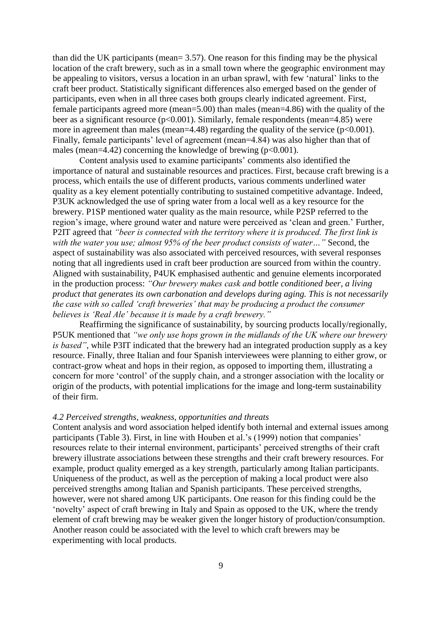than did the UK participants (mean= 3.57). One reason for this finding may be the physical location of the craft brewery, such as in a small town where the geographic environment may be appealing to visitors, versus a location in an urban sprawl, with few 'natural' links to the craft beer product. Statistically significant differences also emerged based on the gender of participants, even when in all three cases both groups clearly indicated agreement. First, female participants agreed more (mean=5.00) than males (mean=4.86) with the quality of the beer as a significant resource  $(p<0.001)$ . Similarly, female respondents (mean=4.85) were more in agreement than males (mean=4.48) regarding the quality of the service  $(p<0.001)$ . Finally, female participants' level of agreement (mean=4.84) was also higher than that of males (mean=4.42) concerning the knowledge of brewing  $(p<0.001)$ .

Content analysis used to examine participants' comments also identified the importance of natural and sustainable resources and practices. First, because craft brewing is a process, which entails the use of different products, various comments underlined water quality as a key element potentially contributing to sustained competitive advantage. Indeed, P3UK acknowledged the use of spring water from a local well as a key resource for the brewery. P1SP mentioned water quality as the main resource, while P2SP referred to the region's image, where ground water and nature were perceived as 'clean and green.' Further, P2IT agreed that *"beer is connected with the territory where it is produced. The first link is with the water you use; almost 95% of the beer product consists of water…"* Second, the aspect of sustainability was also associated with perceived resources, with several responses noting that all ingredients used in craft beer production are sourced from within the country. Aligned with sustainability, P4UK emphasised authentic and genuine elements incorporated in the production process: *"Our brewery makes cask and bottle conditioned beer, a living product that generates its own carbonation and develops during aging. This is not necessarily the case with so called 'craft breweries' that may be producing a product the consumer believes is 'Real Ale' because it is made by a craft brewery."*

Reaffirming the significance of sustainability, by sourcing products locally/regionally, P5UK mentioned that *"we only use hops grown in the midlands of the UK where our brewery is based"*, while P3IT indicated that the brewery had an integrated production supply as a key resource. Finally, three Italian and four Spanish interviewees were planning to either grow, or contract-grow wheat and hops in their region, as opposed to importing them, illustrating a concern for more 'control' of the supply chain, and a stronger association with the locality or origin of the products, with potential implications for the image and long-term sustainability of their firm.

#### *4.2 Perceived strengths, weakness, opportunities and threats*

Content analysis and word association helped identify both internal and external issues among participants (Table 3). First, in line with Houben et al.'s (1999) notion that companies' resources relate to their internal environment, participants' perceived strengths of their craft brewery illustrate associations between these strengths and their craft brewery resources. For example, product quality emerged as a key strength, particularly among Italian participants. Uniqueness of the product, as well as the perception of making a local product were also perceived strengths among Italian and Spanish participants. These perceived strengths, however, were not shared among UK participants. One reason for this finding could be the 'novelty' aspect of craft brewing in Italy and Spain as opposed to the UK, where the trendy element of craft brewing may be weaker given the longer history of production/consumption. Another reason could be associated with the level to which craft brewers may be experimenting with local products.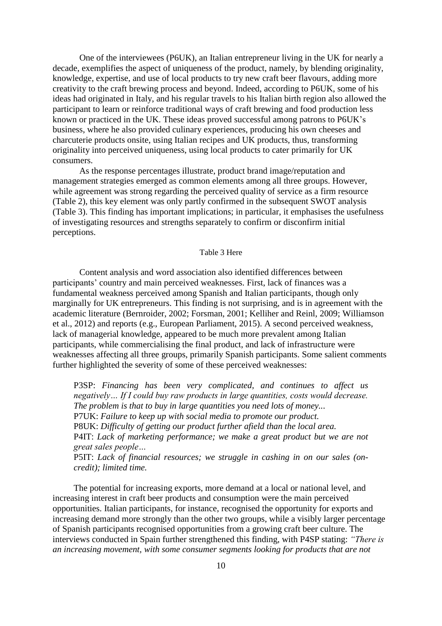One of the interviewees (P6UK), an Italian entrepreneur living in the UK for nearly a decade, exemplifies the aspect of uniqueness of the product, namely, by blending originality, knowledge, expertise, and use of local products to try new craft beer flavours, adding more creativity to the craft brewing process and beyond. Indeed, according to P6UK, some of his ideas had originated in Italy, and his regular travels to his Italian birth region also allowed the participant to learn or reinforce traditional ways of craft brewing and food production less known or practiced in the UK. These ideas proved successful among patrons to P6UK's business, where he also provided culinary experiences, producing his own cheeses and charcuterie products onsite, using Italian recipes and UK products, thus, transforming originality into perceived uniqueness, using local products to cater primarily for UK consumers.

As the response percentages illustrate, product brand image/reputation and management strategies emerged as common elements among all three groups. However, while agreement was strong regarding the perceived quality of service as a firm resource (Table 2), this key element was only partly confirmed in the subsequent SWOT analysis (Table 3). This finding has important implications; in particular, it emphasises the usefulness of investigating resources and strengths separately to confirm or disconfirm initial perceptions.

#### Table 3 Here

Content analysis and word association also identified differences between participants' country and main perceived weaknesses. First, lack of finances was a fundamental weakness perceived among Spanish and Italian participants, though only marginally for UK entrepreneurs. This finding is not surprising, and is in agreement with the academic literature (Bernroider, 2002; Forsman, 2001; Kelliher and Reinl, 2009; Williamson et al., 2012) and reports (e.g., European Parliament, 2015). A second perceived weakness, lack of managerial knowledge, appeared to be much more prevalent among Italian participants, while commercialising the final product, and lack of infrastructure were weaknesses affecting all three groups, primarily Spanish participants. Some salient comments further highlighted the severity of some of these perceived weaknesses:

P3SP: *Financing has been very complicated, and continues to affect us negatively… If I could buy raw products in large quantities, costs would decrease. The problem is that to buy in large quantities you need lots of money...* P7UK: *Failure to keep up with social media to promote our product.* P8UK: *Difficulty of getting our product further afield than the local area.* P4IT: *Lack of marketing performance; we make a great product but we are not great sales people…* P5IT: *Lack of financial resources; we struggle in cashing in on our sales (oncredit); limited time.*

The potential for increasing exports, more demand at a local or national level, and increasing interest in craft beer products and consumption were the main perceived opportunities. Italian participants, for instance, recognised the opportunity for exports and increasing demand more strongly than the other two groups, while a visibly larger percentage of Spanish participants recognised opportunities from a growing craft beer culture. The interviews conducted in Spain further strengthened this finding, with P4SP stating: *"There is an increasing movement, with some consumer segments looking for products that are not*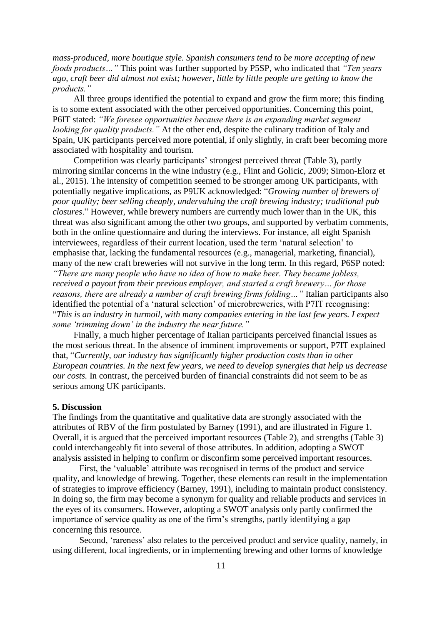*mass-produced, more boutique style. Spanish consumers tend to be more accepting of new foods products…"* This point was further supported by P5SP, who indicated that *"Ten years ago, craft beer did almost not exist; however, little by little people are getting to know the products."*

All three groups identified the potential to expand and grow the firm more; this finding is to some extent associated with the other perceived opportunities. Concerning this point, P6IT stated: *"We foresee opportunities because there is an expanding market segment looking for quality products.*" At the other end, despite the culinary tradition of Italy and Spain, UK participants perceived more potential, if only slightly, in craft beer becoming more associated with hospitality and tourism.

Competition was clearly participants' strongest perceived threat (Table 3), partly mirroring similar concerns in the wine industry (e.g., Flint and Golicic, 2009; Simon-Elorz et al., 2015). The intensity of competition seemed to be stronger among UK participants, with potentially negative implications, as P9UK acknowledged: "*Growing number of brewers of poor quality; beer selling cheaply, undervaluing the craft brewing industry; traditional pub closures*." However, while brewery numbers are currently much lower than in the UK, this threat was also significant among the other two groups, and supported by verbatim comments, both in the online questionnaire and during the interviews. For instance, all eight Spanish interviewees, regardless of their current location, used the term 'natural selection' to emphasise that, lacking the fundamental resources (e.g., managerial, marketing, financial), many of the new craft breweries will not survive in the long term. In this regard, P6SP noted: *"There are many people who have no idea of how to make beer. They became jobless,* 

*received a payout from their previous employer, and started a craft brewery… for those reasons, there are already a number of craft brewing firms folding…"* Italian participants also identified the potential of a 'natural selection' of microbreweries, with P7IT recognising: "*This is an industry in turmoil, with many companies entering in the last few years. I expect some 'trimming down' in the industry the near future."*

Finally, a much higher percentage of Italian participants perceived financial issues as the most serious threat. In the absence of imminent improvements or support, P7IT explained that, "*Currently, our industry has significantly higher production costs than in other European countries. In the next few years, we need to develop synergies that help us decrease our costs.* In contrast, the perceived burden of financial constraints did not seem to be as serious among UK participants.

#### **5. Discussion**

The findings from the quantitative and qualitative data are strongly associated with the attributes of RBV of the firm postulated by Barney (1991), and are illustrated in Figure 1. Overall, it is argued that the perceived important resources (Table 2), and strengths (Table 3) could interchangeably fit into several of those attributes. In addition, adopting a SWOT analysis assisted in helping to confirm or disconfirm some perceived important resources.

First, the 'valuable' attribute was recognised in terms of the product and service quality, and knowledge of brewing. Together, these elements can result in the implementation of strategies to improve efficiency (Barney, 1991), including to maintain product consistency. In doing so, the firm may become a synonym for quality and reliable products and services in the eyes of its consumers. However, adopting a SWOT analysis only partly confirmed the importance of service quality as one of the firm's strengths, partly identifying a gap concerning this resource.

Second, 'rareness' also relates to the perceived product and service quality, namely, in using different, local ingredients, or in implementing brewing and other forms of knowledge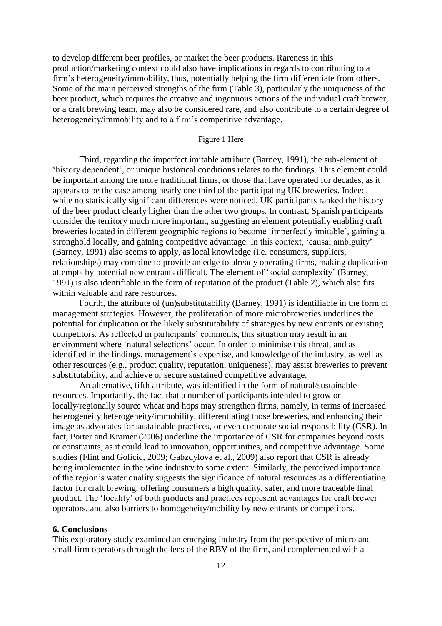to develop different beer profiles, or market the beer products. Rareness in this production/marketing context could also have implications in regards to contributing to a firm's heterogeneity/immobility, thus, potentially helping the firm differentiate from others. Some of the main perceived strengths of the firm (Table 3), particularly the uniqueness of the beer product, which requires the creative and ingenuous actions of the individual craft brewer, or a craft brewing team, may also be considered rare, and also contribute to a certain degree of heterogeneity/immobility and to a firm's competitive advantage.

## Figure 1 Here

Third, regarding the imperfect imitable attribute (Barney, 1991), the sub-element of 'history dependent', or unique historical conditions relates to the findings. This element could be important among the more traditional firms, or those that have operated for decades, as it appears to be the case among nearly one third of the participating UK breweries. Indeed, while no statistically significant differences were noticed, UK participants ranked the history of the beer product clearly higher than the other two groups. In contrast, Spanish participants consider the territory much more important, suggesting an element potentially enabling craft breweries located in different geographic regions to become 'imperfectly imitable', gaining a stronghold locally, and gaining competitive advantage. In this context, 'causal ambiguity' (Barney, 1991) also seems to apply, as local knowledge (i.e. consumers, suppliers, relationships) may combine to provide an edge to already operating firms, making duplication attempts by potential new entrants difficult. The element of 'social complexity' (Barney, 1991) is also identifiable in the form of reputation of the product (Table 2), which also fits within valuable and rare resources.

Fourth, the attribute of (un)substitutability (Barney, 1991) is identifiable in the form of management strategies. However, the proliferation of more microbreweries underlines the potential for duplication or the likely substitutability of strategies by new entrants or existing competitors. As reflected in participants' comments, this situation may result in an environment where 'natural selections' occur. In order to minimise this threat, and as identified in the findings, management's expertise, and knowledge of the industry, as well as other resources (e.g., product quality, reputation, uniqueness), may assist breweries to prevent substitutability, and achieve or secure sustained competitive advantage.

An alternative, fifth attribute, was identified in the form of natural/sustainable resources. Importantly, the fact that a number of participants intended to grow or locally/regionally source wheat and hops may strengthen firms, namely, in terms of increased heterogeneity heterogeneity/immobility, differentiating those breweries, and enhancing their image as advocates for sustainable practices, or even corporate social responsibility (CSR). In fact, Porter and Kramer (2006) underline the importance of CSR for companies beyond costs or constraints, as it could lead to innovation, opportunities, and competitive advantage. Some studies (Flint and Golicic, 2009; Gabzdylova et al., 2009) also report that CSR is already being implemented in the wine industry to some extent. Similarly, the perceived importance of the region's water quality suggests the significance of natural resources as a differentiating factor for craft brewing, offering consumers a high quality, safer, and more traceable final product. The 'locality' of both products and practices represent advantages for craft brewer operators, and also barriers to homogeneity/mobility by new entrants or competitors.

## **6. Conclusions**

This exploratory study examined an emerging industry from the perspective of micro and small firm operators through the lens of the RBV of the firm, and complemented with a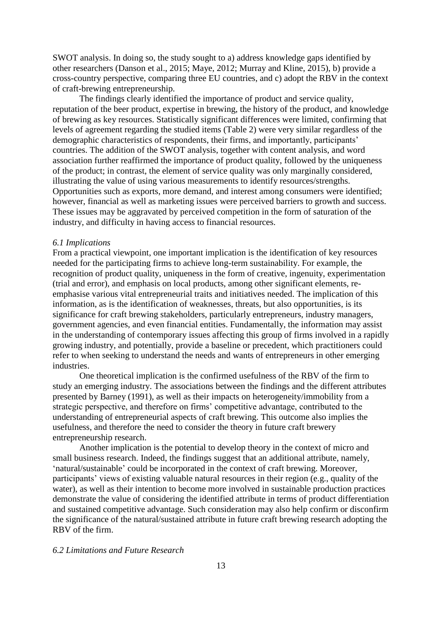SWOT analysis. In doing so, the study sought to a) address knowledge gaps identified by other researchers (Danson et al., 2015; Maye, 2012; Murray and Kline, 2015), b) provide a cross-country perspective, comparing three EU countries, and c) adopt the RBV in the context of craft-brewing entrepreneurship.

The findings clearly identified the importance of product and service quality, reputation of the beer product, expertise in brewing, the history of the product, and knowledge of brewing as key resources. Statistically significant differences were limited, confirming that levels of agreement regarding the studied items (Table 2) were very similar regardless of the demographic characteristics of respondents, their firms, and importantly, participants' countries. The addition of the SWOT analysis, together with content analysis, and word association further reaffirmed the importance of product quality, followed by the uniqueness of the product; in contrast, the element of service quality was only marginally considered, illustrating the value of using various measurements to identify resources/strengths. Opportunities such as exports, more demand, and interest among consumers were identified; however, financial as well as marketing issues were perceived barriers to growth and success. These issues may be aggravated by perceived competition in the form of saturation of the industry, and difficulty in having access to financial resources.

#### *6.1 Implications*

From a practical viewpoint, one important implication is the identification of key resources needed for the participating firms to achieve long-term sustainability. For example, the recognition of product quality, uniqueness in the form of creative, ingenuity, experimentation (trial and error), and emphasis on local products, among other significant elements, reemphasise various vital entrepreneurial traits and initiatives needed. The implication of this information, as is the identification of weaknesses, threats, but also opportunities, is its significance for craft brewing stakeholders, particularly entrepreneurs, industry managers, government agencies, and even financial entities. Fundamentally, the information may assist in the understanding of contemporary issues affecting this group of firms involved in a rapidly growing industry, and potentially, provide a baseline or precedent, which practitioners could refer to when seeking to understand the needs and wants of entrepreneurs in other emerging industries.

One theoretical implication is the confirmed usefulness of the RBV of the firm to study an emerging industry. The associations between the findings and the different attributes presented by Barney (1991), as well as their impacts on heterogeneity/immobility from a strategic perspective, and therefore on firms' competitive advantage, contributed to the understanding of entrepreneurial aspects of craft brewing. This outcome also implies the usefulness, and therefore the need to consider the theory in future craft brewery entrepreneurship research.

Another implication is the potential to develop theory in the context of micro and small business research. Indeed, the findings suggest that an additional attribute, namely, 'natural/sustainable' could be incorporated in the context of craft brewing. Moreover, participants' views of existing valuable natural resources in their region (e.g., quality of the water), as well as their intention to become more involved in sustainable production practices demonstrate the value of considering the identified attribute in terms of product differentiation and sustained competitive advantage. Such consideration may also help confirm or disconfirm the significance of the natural/sustained attribute in future craft brewing research adopting the RBV of the firm.

# *6.2 Limitations and Future Research*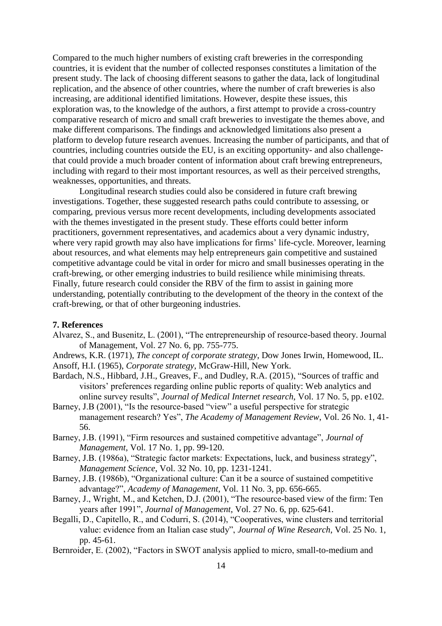Compared to the much higher numbers of existing craft breweries in the corresponding countries, it is evident that the number of collected responses constitutes a limitation of the present study. The lack of choosing different seasons to gather the data, lack of longitudinal replication, and the absence of other countries, where the number of craft breweries is also increasing, are additional identified limitations. However, despite these issues, this exploration was, to the knowledge of the authors, a first attempt to provide a cross-country comparative research of micro and small craft breweries to investigate the themes above, and make different comparisons. The findings and acknowledged limitations also present a platform to develop future research avenues. Increasing the number of participants, and that of countries, including countries outside the EU, is an exciting opportunity- and also challengethat could provide a much broader content of information about craft brewing entrepreneurs, including with regard to their most important resources, as well as their perceived strengths, weaknesses, opportunities, and threats.

Longitudinal research studies could also be considered in future craft brewing investigations. Together, these suggested research paths could contribute to assessing, or comparing, previous versus more recent developments, including developments associated with the themes investigated in the present study. These efforts could better inform practitioners, government representatives, and academics about a very dynamic industry, where very rapid growth may also have implications for firms' life-cycle. Moreover, learning about resources, and what elements may help entrepreneurs gain competitive and sustained competitive advantage could be vital in order for micro and small businesses operating in the craft-brewing, or other emerging industries to build resilience while minimising threats. Finally, future research could consider the RBV of the firm to assist in gaining more understanding, potentially contributing to the development of the theory in the context of the craft-brewing, or that of other burgeoning industries.

## **7. References**

Alvarez, S., and Busenitz, L. (2001), "The entrepreneurship of resource-based theory. Journal of Management, Vol. 27 No. 6, pp. 755-775.

Andrews, K.R. (1971), *The concept of corporate strategy*, Dow Jones Irwin, Homewood, IL. Ansoff, H.I. (1965), *Corporate strategy*, McGraw-Hill, New York.

- Bardach, N.S., Hibbard, J.H., Greaves, F., and Dudley, R.A. (2015), "Sources of traffic and visitors' preferences regarding online public reports of quality: Web analytics and online survey results", *Journal of Medical Internet research,* Vol. 17 No. 5, pp. e102.
- Barney, J.B (2001), "Is the resource-based "view" a useful perspective for strategic management research? Yes", *The Academy of Management Review*, Vol. 26 No. 1, 41- 56.
- Barney, J.B. (1991), "Firm resources and sustained competitive advantage", *Journal of Management*, Vol. 17 No. 1, pp. 99-120.
- Barney, J.B. (1986a), "Strategic factor markets: Expectations, luck, and business strategy", *Management Science*, Vol. 32 No. 10, pp. 1231-1241.
- Barney, J.B. (1986b), "Organizational culture: Can it be a source of sustained competitive advantage?", *Academy of Management*, Vol. 11 No. 3, pp. 656-665.
- Barney, J., Wright, M., and Ketchen, D.J. (2001), "The resource-based view of the firm: Ten years after 1991", *Journal of Management*, Vol. 27 No. 6, pp. 625-641.
- Begalli, D., Capitello, R., and Codurri, S. (2014), "Cooperatives, wine clusters and territorial value: evidence from an Italian case study", *Journal of Wine Research*, Vol. 25 No. 1, pp. 45-61.
- Bernroider, E. (2002), "Factors in SWOT analysis applied to micro, small-to-medium and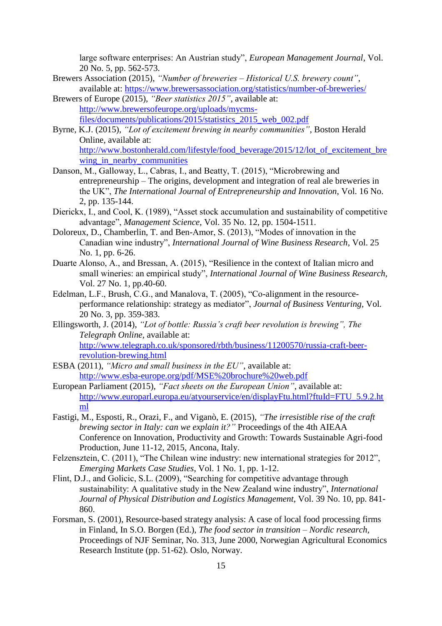large software enterprises: An Austrian study", *European Management Journal*, Vol. 20 No. 5, pp. 562-573.

- Brewers Association (2015), *"Number of breweries – Historical U.S. brewery count"*, available at:<https://www.brewersassociation.org/statistics/number-of-breweries/>
- Brewers of Europe (2015), *"Beer statistics 2015"*, available at: [http://www.brewersofeurope.org/uploads/mycms](http://www.brewersofeurope.org/uploads/mycms-files/documents/publications/2015/statistics_2015_web_002.pdf)[files/documents/publications/2015/statistics\\_2015\\_web\\_002.pdf](http://www.brewersofeurope.org/uploads/mycms-files/documents/publications/2015/statistics_2015_web_002.pdf)
- Byrne, K.J. (2015), *"Lot of excitement brewing in nearby communities"*, Boston Herald Online, available at: [http://www.bostonherald.com/lifestyle/food\\_beverage/2015/12/lot\\_of\\_excitement\\_bre](http://www.bostonherald.com/lifestyle/food_beverage/2015/12/lot_of_excitement_brewing_in_nearby_communities) wing in nearby communities
- Danson, M., Galloway, L., Cabras, I., and Beatty, T. (2015), "Microbrewing and entrepreneurship – The origins, development and integration of real ale breweries in the UK", *The International Journal of Entrepreneurship and Innovation,* Vol. 16 No. 2, pp. 135-144.
- Dierickx, I., and Cool, K. (1989), "Asset stock accumulation and sustainability of competitive advantage", *Management Science*, Vol. 35 No. 12, pp. 1504-1511.
- Doloreux, D., Chamberlin, T. and Ben-Amor, S. (2013), "Modes of innovation in the Canadian wine industry", *International Journal of Wine Business Research*, Vol. 25 No. 1, pp. 6-26.
- Duarte Alonso, A., and Bressan, A. (2015), "Resilience in the context of Italian micro and small wineries: an empirical study", *International Journal of Wine Business Research*, Vol. 27 No. 1, pp.40-60.
- Edelman, L.F., Brush, C.G., and Manalova, T. (2005), "Co-alignment in the resourceperformance relationship: strategy as mediator", *Journal of Business Venturing*, Vol. 20 No. 3, pp. 359-383.
- Ellingsworth, J. (2014), *"Lot of bottle: Russia's craft beer revolution is brewing", The Telegraph Online,* available at: [http://www.telegraph.co.uk/sponsored/rbth/business/11200570/russia-craft-beer](http://www.telegraph.co.uk/sponsored/rbth/business/11200570/russia-craft-beer-revolution-brewing.html)[revolution-brewing.html](http://www.telegraph.co.uk/sponsored/rbth/business/11200570/russia-craft-beer-revolution-brewing.html)
- ESBA (2011), *"Micro and small business in the EU"*, available at: <http://www.esba-europe.org/pdf/MSE%20brochure%20web.pdf>
- European Parliament (2015), *"Fact sheets on the European Union"*, available at: [http://www.europarl.europa.eu/atyourservice/en/displayFtu.html?ftuId=FTU\\_5.9.2.ht](http://www.europarl.europa.eu/atyourservice/en/displayFtu.html?ftuId=FTU_5.9.2.html) [ml](http://www.europarl.europa.eu/atyourservice/en/displayFtu.html?ftuId=FTU_5.9.2.html)
- Fastigi, M., Esposti, R., Orazi, F., and Viganò, E. (2015), *"The irresistible rise of the craft brewing sector in Italy: can we explain it?"* Proceedings of the 4th AIEAA Conference on Innovation, Productivity and Growth: Towards Sustainable Agri-food Production, June 11-12, 2015, Ancona, Italy.
- Felzensztein, C. (2011), "The Chilean wine industry: new international strategies for 2012", *Emerging Markets Case Studies*, Vol. 1 No. 1, pp. 1-12.
- Flint, D.J., and Golicic, S.L. (2009), "Searching for competitive advantage through sustainability: A qualitative study in the New Zealand wine industry", *International Journal of Physical Distribution and Logistics Management*, Vol. 39 No. 10, pp. 841- 860.
- Forsman, S. (2001), Resource-based strategy analysis: A case of local food processing firms in Finland, In S.O. Borgen (Ed.), *The food sector in transition – Nordic research,* Proceedings of NJF Seminar, No. 313, June 2000, Norwegian Agricultural Economics Research Institute (pp. 51-62). Oslo, Norway.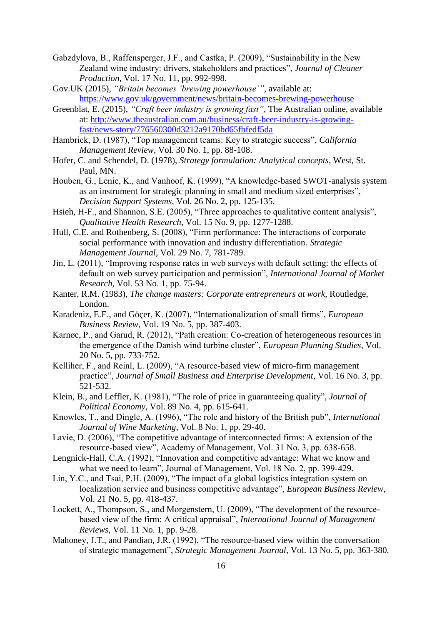- Gabzdylova, B., Raffensperger, J.F., and Castka, P. (2009), "Sustainability in the New Zealand wine industry: drivers, stakeholders and practices", *Journal of Cleaner Production*, Vol. 17 No. 11, pp. 992-998.
- Gov.UK (2015), *"Britain becomes 'brewing powerhouse'"*, available at: <https://www.gov.uk/government/news/britain-becomes-brewing-powerhouse>
- Greenblat, E. (2015), *"Craft beer industry is growing fast"*, The Australian online, available at: [http://www.theaustralian.com.au/business/craft-beer-industry-is-growing](http://www.theaustralian.com.au/business/craft-beer-industry-is-growing-fast/news-story/776560300d3212a9170bd65fbfedf5da)[fast/news-story/776560300d3212a9170bd65fbfedf5da](http://www.theaustralian.com.au/business/craft-beer-industry-is-growing-fast/news-story/776560300d3212a9170bd65fbfedf5da)
- Hambrick, D. (1987), "Top management teams: Key to strategic success", *California Management Review*, Vol. 30 No. 1, pp. 88-108.
- Hofer, C. and Schendel, D. (1978), *Strategy formulation: Analytical concepts*, West, St. Paul, MN.
- Houben, G., Lenie, K., and Vanhoof, K. (1999), "A knowledge-based SWOT-analysis system as an instrument for strategic planning in small and medium sized enterprises", *Decision Support Systems*, Vol. 26 No. 2, pp. 125-135.
- Hsieh, H-F., and Shannon, S.E. (2005), "Three approaches to qualitative content analysis", *Qualitative Health Research*, Vol. 15 No. 9, pp. 1277-1288.
- Hull, C.E. and Rothenberg, S. (2008), "Firm performance: The interactions of corporate social performance with innovation and industry differentiation. *Strategic Management Journal*, Vol. 29 No. 7, 781-789.
- Jin, L. (2011), "Improving response rates in web surveys with default setting: the effects of default on web survey participation and permission", *International Journal of Market Research,* Vol. 53 No. 1, pp. 75-94.
- Kanter, R.M. (1983), *The change masters: Corporate entrepreneurs at work*, Routledge, London.
- Karadeniz, E.E., and Göçer, K. (2007), "Internationalization of small firms", *European Business Review*, Vol. 19 No. 5, pp. 387-403.
- Karnøe, P., and Garud, R. (2012), "Path creation: Co-creation of heterogeneous resources in the emergence of the Danish wind turbine cluster", *European Planning Studies*, Vol. 20 No. 5, pp. 733-752.
- Kelliher, F., and Reinl, L. (2009), "A resource-based view of micro-firm management practice", *Journal of Small Business and Enterprise Development*, Vol. 16 No. 3, pp. 521-532.
- Klein, B., and Leffler, K. (1981), "The role of price in guaranteeing quality", *Journal of Political Economy*, Vol. 89 No. 4, pp. 615-641.
- Knowles, T., and Dingle, A. (1996), "The role and history of the British pub", *International Journal of Wine Marketing*, Vol. 8 No. 1, pp. 29-40.
- Lavie, D. (2006), "The competitive advantage of interconnected firms: A extension of the resource-based view", Academy of Management, Vol. 31 No. 3, pp. 638-658.
- Lengnick-Hall, C.A. (1992), "Innovation and competitive advantage: What we know and what we need to learn", Journal of Management, Vol. 18 No. 2, pp. 399-429.
- Lin, Y.C., and Tsai, P.H. (2009), "The impact of a global logistics integration system on localization service and business competitive advantage", *European Business Review*, Vol. 21 No. 5, pp. 418-437.
- Lockett, A., Thompson, S., and Morgenstern, U. (2009), "The development of the resourcebased view of the firm: A critical appraisal", *International Journal of Management Reviews*, Vol. 11 No. 1, pp. 9-28.
- Mahoney, J.T., and Pandian, J.R. (1992), "The resource-based view within the conversation of strategic management", *Strategic Management Journal*, Vol. 13 No. 5, pp. 363-380.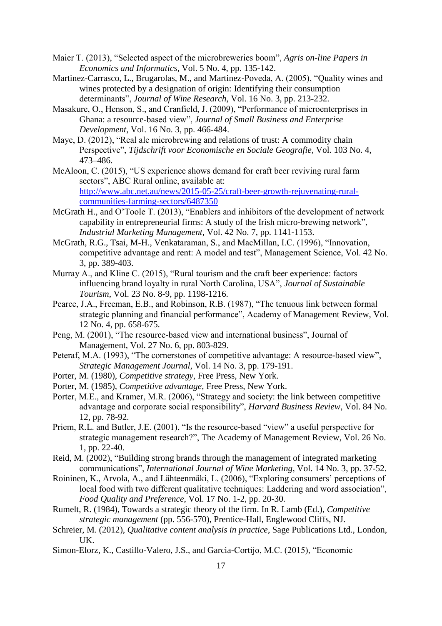- Maier T. (2013), "Selected aspect of the microbreweries boom", *Agris on-line Papers in Economics and Informatics*, Vol. 5 No. 4, pp. 135-142.
- Martinez-Carrasco, L., Brugarolas, M., and Martinez-Poveda, A. (2005), "Quality wines and wines protected by a designation of origin: Identifying their consumption determinants", *Journal of Wine Research*, Vol. 16 No. 3, pp. 213-232.
- Masakure, O., Henson, S., and Cranfield, J. (2009), "Performance of microenterprises in Ghana: a resource-based view", *Journal of Small Business and Enterprise Development*, Vol. 16 No. 3, pp. 466-484.
- Maye, D. (2012), "Real ale microbrewing and relations of trust: A commodity chain Perspective", *Tijdschrift voor Economische en Sociale Geografie*, Vol. 103 No. 4, 473–486.
- McAloon, C. (2015), "US experience shows demand for craft beer reviving rural farm sectors", ABC Rural online, available at: [http://www.abc.net.au/news/2015-05-25/craft-beer-growth-rejuvenating-rural](http://www.abc.net.au/news/2015-05-25/craft-beer-growth-rejuvenating-rural-communities-farming-sectors/6487350)[communities-farming-sectors/6487350](http://www.abc.net.au/news/2015-05-25/craft-beer-growth-rejuvenating-rural-communities-farming-sectors/6487350)
- McGrath H., and O'Toole T. (2013), "Enablers and inhibitors of the development of network capability in entrepreneurial firms: A study of the Irish micro-brewing network", *Industrial Marketing Management,* Vol. 42 No. 7, pp. 1141-1153.
- McGrath, R.G., Tsai, M-H., Venkataraman, S., and MacMillan, I.C. (1996), "Innovation, competitive advantage and rent: A model and test", Management Science, Vol. 42 No. 3, pp. 389-403.
- Murray A., and Kline C. (2015), "Rural tourism and the craft beer experience: factors influencing brand loyalty in rural North Carolina, USA", *Journal of Sustainable Tourism,* Vol. 23 No. 8-9, pp. 1198-1216.
- Pearce, J.A., Freeman, E.B., and Robinson, R.B. (1987), "The tenuous link between formal strategic planning and financial performance", Academy of Management Review, Vol. 12 No. 4, pp. 658-675.
- Peng, M. (2001), "The resource-based view and international business", Journal of Management, Vol. 27 No. 6, pp. 803-829.
- Peteraf, M.A. (1993), "The cornerstones of competitive advantage: A resource-based view", *Strategic Management Journal*, Vol. 14 No. 3, pp. 179-191.
- Porter, M. (1980), *Competitive strategy*, Free Press, New York.
- Porter, M. (1985), *Competitive advantage*, Free Press, New York.
- Porter, M.E., and Kramer, M.R. (2006), "Strategy and society: the link between competitive advantage and corporate social responsibility", *Harvard Business Review*, Vol. 84 No. 12, pp. 78-92.
- Priem, R.L. and Butler, J.E. (2001), "Is the resource-based "view" a useful perspective for strategic management research?", The Academy of Management Review, Vol. 26 No. 1, pp. 22-40.
- Reid, M. (2002), "Building strong brands through the management of integrated marketing communications", *International Journal of Wine Marketing*, Vol. 14 No. 3, pp. 37-52.
- Roininen, K., Arvola, A., and Lähteenmäki, L. (2006), "Exploring consumers' perceptions of local food with two different qualitative techniques: Laddering and word association", *Food Quality and Preference*, Vol. 17 No. 1-2, pp. 20-30.
- Rumelt, R. (1984), Towards a strategic theory of the firm. In R. Lamb (Ed.), *Competitive strategic management* (pp. 556-570), Prentice-Hall, Englewood Cliffs, NJ.
- Schreier, M. (2012), *Qualitative content analysis in practice*, Sage Publications Ltd., London, UK.
- Simon-Elorz, K., Castillo-Valero, J.S., and Garcia-Cortijo, M.C. (2015), "Economic